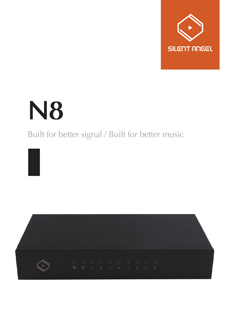

# **N8**

### Built for better signal / Built for better music

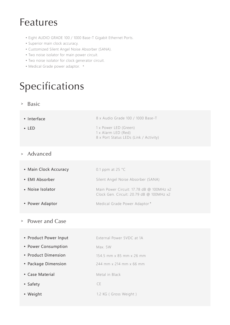## Features

- Eight AUDIO GRADE 100 / 1000 Base-T Gigabit Ethernet Ports.
- Superior main clock accuracy.
- Customized Silent Angel Noise Absorber (SANA).
- Two noise isolator for main power circuit.
- Two noise isolator for clock generator circuit.
- Medical Grade power adaptor. \*

# Specifications

#### Basic >

| • Interface  | 8 x Audio Grade 100 / 1000 Base-T                                                      |
|--------------|----------------------------------------------------------------------------------------|
| $\cdot$ IFD. | 1 x Power LED (Green)<br>1 x Alarm LED (Red)<br>8 x Port Status LEDs (Link / Activity) |

#### Advanced >

| • Main Clock Accuracy | 0.1 ppm at 25 $^{\circ}$ C                                                           |
|-----------------------|--------------------------------------------------------------------------------------|
| • EMI Absorber        | Silent Angel Noise Absorber (SANA)                                                   |
| • Noise Isolator      | Main Power Circuit: 17.78 dB @ 100MHz x2<br>Clock Gen. Circuit: 20.79 dB @ 100MHz x2 |

#### Power Adaptor Medical Grade Power Adaptor\*

#### Power and Case  $\,>$

| • Product Power Input | External Power 5VDC at 1A |
|-----------------------|---------------------------|
| • Power Consumption   | Max. 5W                   |
| • Product Dimension   | 154.5 mm x 85 mm x 26 mm  |
| • Package Dimension   | 244 mm x 214 mm x 66 mm   |
| • Case Material       | Metal in Black            |
| • Safety              | CE.                       |
| • Weight              | 1.2 KG (Gross Weight)     |